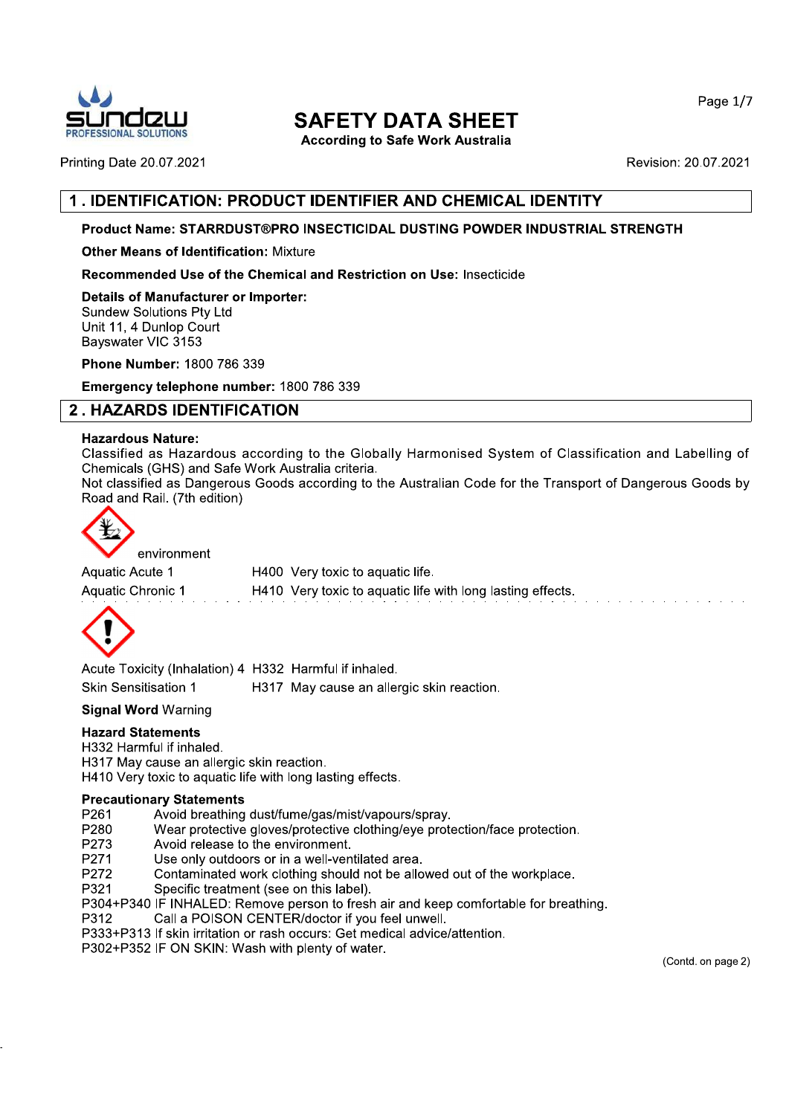

# **SAFETY DATA SHEET**

**According to Safe Work Australia** 

**Printing Date 20.07.2021** 

Revision: 20.07.2021

# 1. IDENTIFICATION: PRODUCT IDENTIFIER AND CHEMICAL IDENTITY

# Product Name: STARRDUST®PRO INSECTICIDAL DUSTING POWDER INDUSTRIAL STRENGTH

**Other Means of Identification: Mixture** 

Recommended Use of the Chemical and Restriction on Use: Insecticide

**Details of Manufacturer or Importer: Sundew Solutions Pty Ltd** Unit 11, 4 Dunlop Court Bayswater VIC 3153

Phone Number: 1800 786 339

Emergency telephone number: 1800 786 339

# **2. HAZARDS IDENTIFICATION**

## **Hazardous Nature:**

Classified as Hazardous according to the Globally Harmonised System of Classification and Labelling of Chemicals (GHS) and Safe Work Australia criteria.

Not classified as Dangerous Goods according to the Australian Code for the Transport of Dangerous Goods by Road and Rail. (7th edition)



environment

Aquatic Acute 1 H400 Very toxic to aquatic life. Aquatic Chronic 1 H410 Very toxic to aquatic life with long lasting effects.



Acute Toxicity (Inhalation) 4 H332 Harmful if inhaled. **Skin Sensitisation 1** H317 May cause an allergic skin reaction.

## **Signal Word Warning**

## **Hazard Statements**

H332 Harmful if inhaled.

H317 May cause an allergic skin reaction.

H410 Very toxic to aquatic life with long lasting effects.

## **Precautionary Statements**

- Avoid breathing dust/fume/gas/mist/vapours/spray. P261
- P280 Wear protective gloves/protective clothing/eye protection/face protection.
- Avoid release to the environment. P273
- Use only outdoors or in a well-ventilated area. P271
- Contaminated work clothing should not be allowed out of the workplace. P272
- P321 Specific treatment (see on this label).
- P304+P340 IF INHALED: Remove person to fresh air and keep comfortable for breathing.
- P312 Call a POISON CENTER/doctor if you feel unwell.
- P333+P313 If skin irritation or rash occurs: Get medical advice/attention.
- P302+P352 IF ON SKIN: Wash with plenty of water.

(Contd. on page 2)

Page 1/7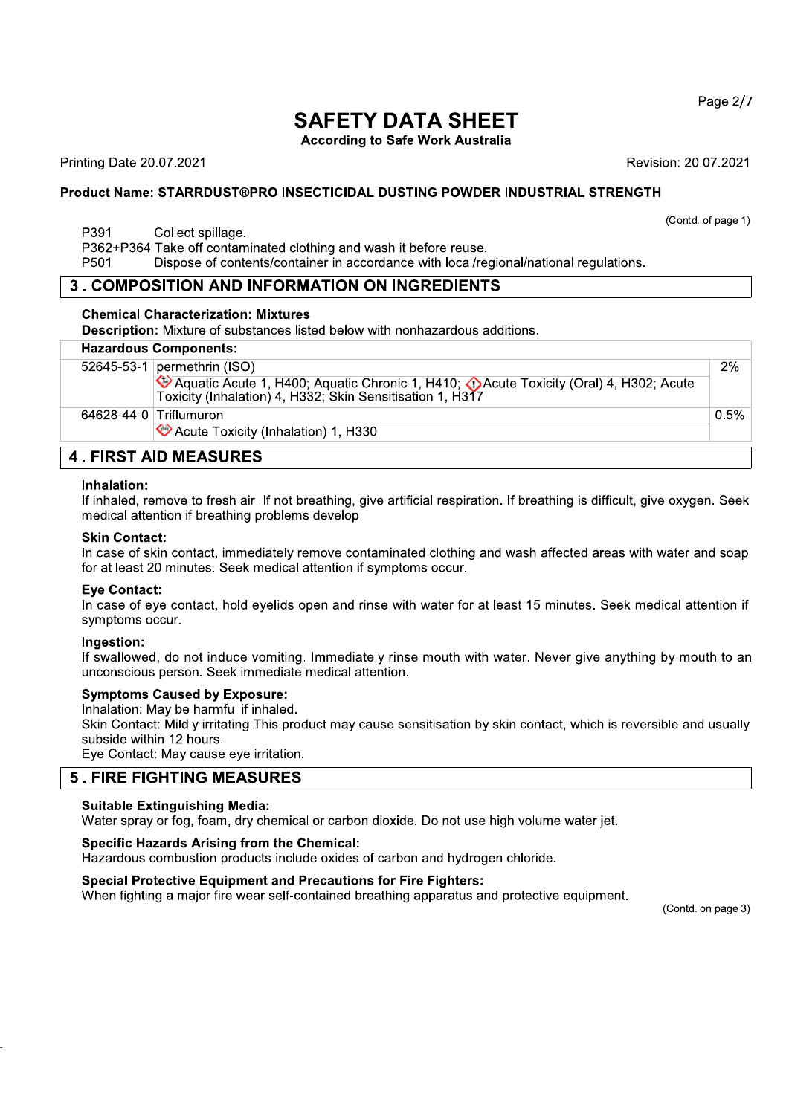Page 2/7

# **SAFETY DATA SHEET**

**According to Safe Work Australia** 

**Printing Date 20.07.2021** 

Revision: 20.07.2021

(Contd. of page 1)

# Product Name: STARRDUST®PRO INSECTICIDAL DUSTING POWDER INDUSTRIAL STRENGTH

P391 Collect spillage.

P362+P364 Take off contaminated clothing and wash it before reuse.

P501 Dispose of contents/container in accordance with local/regional/national regulations.

# **3. COMPOSITION AND INFORMATION ON INGREDIENTS**

## **Chemical Characterization: Mixtures**

Description: Mixture of substances listed below with nonhazardous additions.

|                    | <b>Hazardous Components:</b>                                                                                                                       |         |
|--------------------|----------------------------------------------------------------------------------------------------------------------------------------------------|---------|
|                    | 52645-53-1 permethrin (ISO)                                                                                                                        | 2%      |
|                    | EXA Aquatic Acute 1, H400; Aquatic Chronic 1, H410; Acute Toxicity (Oral) 4, H302; Acute Toxicity (Inhalation) 4, H332; Skin Sensitisation 1, H317 |         |
|                    | 64628-44-0 Triflumuron                                                                                                                             | $0.5\%$ |
|                    | Acute Toxicity (Inhalation) 1, H330                                                                                                                |         |
| FIBAT AIR MEAAUREA |                                                                                                                                                    |         |

# **4. FIRST AID MEASURES**

## Inhalation:

If inhaled, remove to fresh air. If not breathing, give artificial respiration. If breathing is difficult, give oxygen. Seek medical attention if breathing problems develop.

## **Skin Contact:**

In case of skin contact, immediately remove contaminated clothing and wash affected areas with water and soap for at least 20 minutes. Seek medical attention if symptoms occur.

## **Eve Contact:**

In case of eye contact, hold eyelids open and rinse with water for at least 15 minutes. Seek medical attention if symptoms occur.

## Ingestion:

If swallowed, do not induce vomiting. Immediately rinse mouth with water. Never give anything by mouth to an unconscious person. Seek immediate medical attention.

## **Symptoms Caused by Exposure:**

Inhalation: May be harmful if inhaled.

Skin Contact: Mildly irritating. This product may cause sensitisation by skin contact, which is reversible and usually subside within 12 hours.

Eye Contact: May cause eye irritation.

# **5. FIRE FIGHTING MEASURES**

## **Suitable Extinguishing Media:**

Water spray or fog, foam, dry chemical or carbon dioxide. Do not use high volume water jet.

## **Specific Hazards Arising from the Chemical:**

Hazardous combustion products include oxides of carbon and hydrogen chloride.

## **Special Protective Equipment and Precautions for Fire Fighters:**

When fighting a major fire wear self-contained breathing apparatus and protective equipment.

(Contd. on page 3)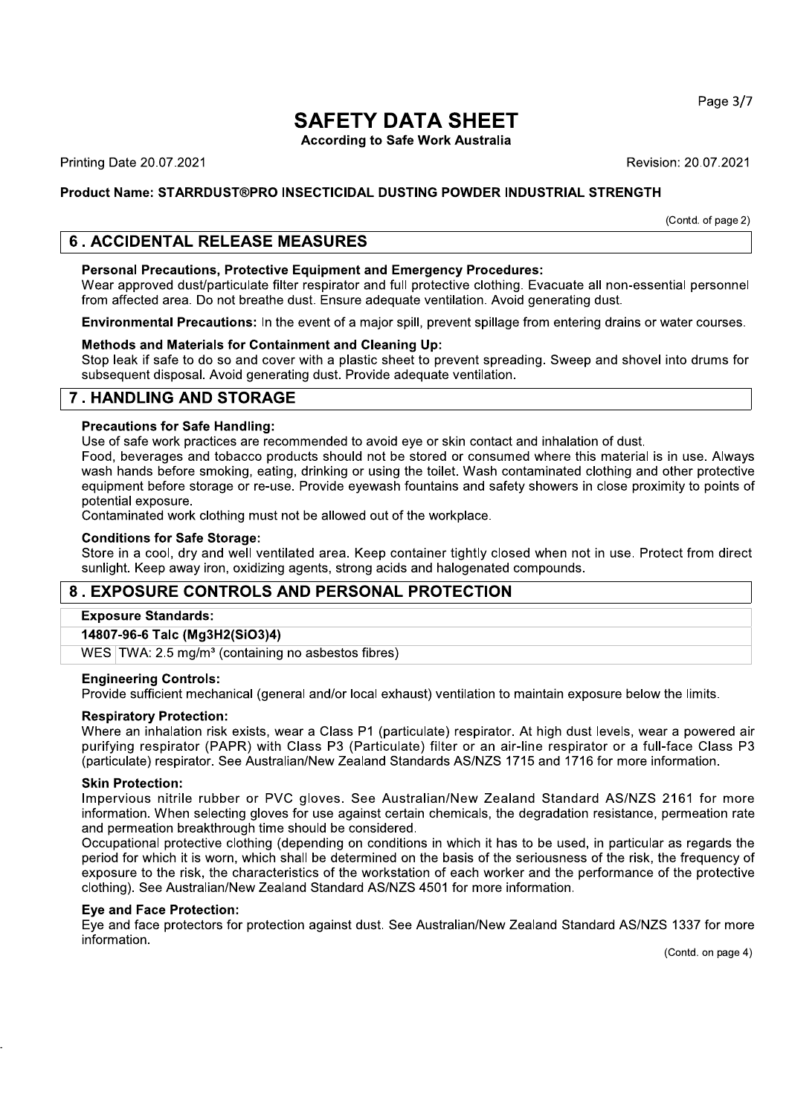# **SAFETY DATA SHEET**<br>According to Safe Work Australia

# Product Name: STARRDUST®PRO INSECTICIDAL DUSTING POWDER INDUSTRIAL STRENGTH

# 6. ACCIDENTAL RELEASE MEASURES

EXT<br>
Printing Date 20.07.2021<br>
Product Name: STARRDUST®PRO INSECTICIDAL DUSTING POWDER INDUSTRIAL STRENGTH<br>
Froduct Name: STARRDUST®PRO INSECTICIDAL DUSTING POWDER INDUSTRIAL STRENGTH<br>
6. ACCIDENTAL RELEASE MEASURES<br>
Perso Revision: 20.07.2021<br> **L STRENGTH**<br>
(Contd. of page 2)<br>
e all non-essential personnel<br>
ng dust.<br>
Pring drains or water courses. Personal Precautions, Protective Equipment and Emergency Procedures:<br>Wear approved dust/particulate filter respirator and full protective clothing. Evacuate all non-essential personnel Revision: 20.07.2021<br>
Revision: 20.07.2021<br>
duct Name: STARRDUST®PRO INSECTICIDAL DUSTING POWDER INDUSTRIAL STRENGTH<br>
(Contd. of page 2)<br>
. ACCIDENTAL RELEASE MEASURES<br>
Personal Precautions, Protective Equipment and Emerge Product Name: STARRDUST®PRO INSECTICIDAL DUSTING POWDER INDUSTRIAL STRENGTH<br>
(Contd.)<br>
Contd.<br> **6. ACCIDENTAL RELEASE MEASURES**<br>
Personal Precautions, Protective Equipment and Emergency Procedures:<br>
Wear approved distignat Frocuse Hannel Correct Heromonted Boomer Correct Heromonted Contains (Contains of page 2)<br> **Exercise Personal Precautions, Protective Equipment and Emergency Procedures:**<br>
Wear approved dust/particulate filter respirator a

Methods and Materials for Containment and Cleaning Up:<br>Stop leak if safe to do so and cover with a plastic sheet to prevent spreading. Sweep and shovel into drums for

# 7. HANDLING AND STORAGE

Precautions for Safe Handling:<br>Use of safe work practices are recommended to avoid eye or skin contact and inhalation of dust.

**. ACCIDENTAL RELEASE MEASURES**<br> **Personal Precautions, Protective Equipment and Emergency Procedures:**<br>
Wear approved dust/particulate filter respirator and full protective clothing. Evacuate all non-essential personnel<br> **Personal Precautions, Protective Equipment and Emergency Procedures:**<br>Wear approved dust/particulate filter respirator and full protective clothing. Evacuate all non-<br>from affected area. Do not breathe dust. Ensure adequa **Environmental Precautions:** In the event of a major spill, prevent spillage from entering drains or water cour<br> **Methods and Materials for Containment and Cleaning Up:**<br>
Stop leak if safe to do so and cover with a plastic Methods and Materials for Containment and Cleaning Up:<br>
Stop leak if safe to do so and cover with a plastic sheet to prevent spreading. Sweep and shovel into drums for<br>
subsequent disposal. Avoid generating dust. Provide a Stop leak if safe to do so and cover with a plastic sheet to prevent spreading. Sweep and shovel into drums for<br>subsequent disposal. Avoid generating dust. Provide adequate ventilation.<br> **7. HANDLING AND STORAGE**<br> **Precaut** Subsequent disposal. Avoid generating dust. Provide adequate ventilation.<br>
T. HANDLING AND STORAGE<br>
Precautions for Safe Handling:<br>
Use of safe work practices are recommended to avoid eye or skin contact and inhalation of subsequent disposal. Avoid<br>
7 . HANDLING AND ST<br>
Dise of safe work practices<br>
Food, beverages and toba<br>
wash hands before smokir<br>
equipment before storage<br>
potential exposure.<br>
Contaminated work clothing<br>
Conditions for Sa 7. HANDLING AND STORAGE<br>
Precautions for Safe Handling:<br>
Use of safe work practices are recommended to avoid eye or skin conta<br>
Food, beverages and tobacco products should not be stored or consum<br>
wash hands before smoking Precalum STO Taller Harmamige.<br>Use of safe work practices are recommended to avoid eye or skin contact and inhalation of dust.<br>Food, beverages and tobacco products should not be stored or consumed where this material is in best or sale work plactices are recommented to about eye or skint contact anti miniation or usus.<br>Food, beverages and tobacco products should not be stored or consumed where this material is in use<br>wash hands before smokin

Conditions for Safe Storage:<br>Store in a cool, dry and well ventilated area. Keep container tightly closed when not in use. Protect from direct

# 8. EXPOSURE CONTROLS AND PERSONAL PROTECTION

## **Exposure Standards:**

14807-96-6 Talc (Mg3H2(SiO3)4)<br>WES TWA: 2.5 mg/m<sup>3</sup> (containing no asbestos fibres)

**Engineering Controls:**<br>Provide sufficient mechanical (general and/or local exhaust) ventilation to maintain exposure below the limits.

Conditions for Safe Storage:<br>
Store in a cool, dry and well ventilated area. Keep conta<br>
sunlight. Keep away iron, oxidizing agents, strong acids a<br>
8. EXPOSURE CONTROLS AND PERSONAL P<br>
Exposure Standards:<br>
14807-96-6 Talc sunight, Keep away iron, oxidizing agents, strong acids and naiogenated compounds.<br> **8. EXPOSURE CONTROLS AND PERSONAL PROTECTION**<br> **Exposure Standards:**<br>
14807-96-6 Talc (Mg3H2(SiO3)4)<br>
WES TWA: 2.5 mg/m<sup>3</sup> (containing no Respiratory Protection:<br>Where an inhalation risk exists, wear a Class P1 (particulate) respirator. At high dust levels, wear a powered air Exposure Standards:<br>
14807-96-6 Talc (Mg3H2(SiO3)4)<br>
WES | TWA: 2.5 mg/m<sup>3</sup> (containing no asbestos fibres)<br>
Engineering Controls:<br>
Provide sufficient mechanical (general and/or local exhaust) ventilation to maintain expos purifying respirator (PAPR) with Class P3 (Particulate) filter or an air-line respirator or a full-face Class P3

Skin Protection:<br>Impervious nitrile rubber or PVC gloves. See Australian/New Zealand Standard AS/NZS 2161 for more

14807-96-6 Talc (Mg3H2(SiO3)4)<br>
WES TWA: 2.5 mg/m<sup>3</sup> (containing no asbeston<br>
Engineering Controls:<br>
Provide sufficient mechanical (general and/or<br>
Respiratory Protection:<br>
Where an inhalation risk exists, wear a Class<br>
p cos fibres)<br>
r local exhaust) ventilation to maintain exposure below the limits.<br>
ss P1 (particulate) respirator. At high dust levels, wear a powered air<br>
(Particulate) filter or an air-line respirator or a full-face Class view -90- a arc (wigar-talking no asbestos fibres)<br>WES TWA: 2.5 mg/m<sup>3</sup> (containing no asbestos fibres)<br>Engineering Controls:<br>Provide sufficient mechanical (general and/or local exhaust) ventilation to maintain exposure be Engineering Controls:<br>
Provide sufficient mechanical (general and/or local exhaust) ventilation to maintain exposure below the limits.<br>
Respiratory Protection:<br>
Where an inhalation risk exists, wear a Class P1 (particulate Provide sufficient mechanical (general and/or local exhaust) ventilation to maintain exposure below the limits.<br> **Respirator Protection:**<br>
Where an inhelation risk exists, wear a Class P1 (particulate) filter or an air-lin **Respiratory Protection:**<br>
Where an inhalation risk exists, wear a Class P1 (particulate) respiration purifying respirator (PAPR) with Class P3 (Particulate) filter or an (particulate) respirator. See Australian/New Zealan Where an inhalation risk exists, wear a Class P1 (particulate) respirator. At high dust levels, wear a powered air<br>purifying respirator (PAPR) with Class P3 (Particulate) filter or an air-line respirator or a full-face Cla Where an inmatation risk exists, wear a class P r (particulate) rispination. At ringin ust levels, wear a powered all<br>purifying respirator (PAPR) with Class P3 (Particulate) filter or an air-line respirator or a full-face purinying respirator. One Australian/New Zealand Standards AS/NZS 1715 and 1716 for more information.<br>
(particulate) respirator. See Australian/New Zealand Standards AS/NZS 1715 and 1716 for more information.<br>
Impervious n particulate) respirator. See Australian/New Zealand Standards AS/NZS 1715 and 1716 for more information.<br>
Skin Protection:<br>
Impervious nitrile rubber or PVC gloves. See Australian/New Zealand Standard AS/NZS 2161<br>
informat information. When selecting gloves for use against certain chemicals, the degradation resistance, permeation and permeation breakthrough time should be considered.<br>
Occupational protective clothing (depending on conditions information. Werel selecting gioves for the signal steration crimerals, the degradation resistance, permeation rate<br>and permeation breakthrough time should be considered.<br>Occupational protective clothing (depending on cond

## Eve and Face Protection:

37 for more

Page 3/7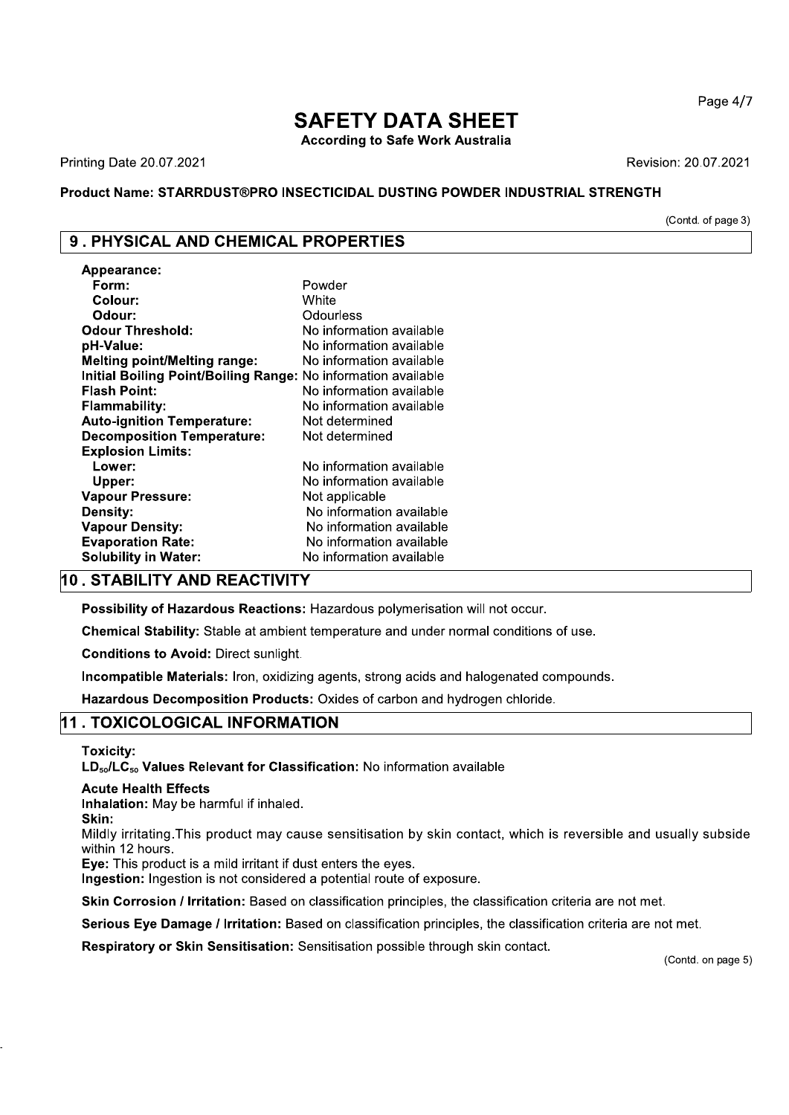Page 4/7

# **SAFETY DATA SHEET**

**According to Safe Work Australia** 

**Printing Date 20.07.2021** 

Revision: 20.07.2021

# Product Name: STARRDUST®PRO INSECTICIDAL DUSTING POWDER INDUSTRIAL STRENGTH

(Contd. of page 3)

# 9. PHYSICAL AND CHEMICAL PROPERTIES

| Appearance:                                 |                          |
|---------------------------------------------|--------------------------|
| Form:                                       | Powder                   |
| Colour:                                     | White                    |
| Odour:                                      | Odourless                |
| <b>Odour Threshold:</b>                     | No information available |
| pH-Value:                                   | No information available |
| <b>Melting point/Melting range:</b>         | No information available |
| <b>Initial Boiling Point/Boiling Range:</b> | No information available |
| <b>Flash Point:</b>                         | No information available |
| <b>Flammability:</b>                        | No information available |
| <b>Auto-ignition Temperature:</b>           | Not determined           |
| <b>Decomposition Temperature:</b>           | Not determined           |
| <b>Explosion Limits:</b>                    |                          |
| Lower:                                      | No information available |
| Upper:                                      | No information available |
| <b>Vapour Pressure:</b>                     | Not applicable           |
| <b>Density:</b>                             | No information available |
| <b>Vapour Density:</b>                      | No information available |
| <b>Evaporation Rate:</b>                    | No information available |
| <b>Solubility in Water:</b>                 | No information available |

# 10. STABILITY AND REACTIVITY

Possibility of Hazardous Reactions: Hazardous polymerisation will not occur.

Chemical Stability: Stable at ambient temperature and under normal conditions of use.

**Conditions to Avoid: Direct sunlight.** 

Incompatible Materials: Iron, oxidizing agents, strong acids and halogenated compounds.

Hazardous Decomposition Products: Oxides of carbon and hydrogen chloride.

# 11. TOXICOLOGICAL INFORMATION

**Toxicity:** 

LD<sub>50</sub>/LC<sub>50</sub> Values Relevant for Classification: No information available

### **Acute Health Effects**

Inhalation: May be harmful if inhaled.

Skin:

Mildly irritating. This product may cause sensitisation by skin contact, which is reversible and usually subside within 12 hours.

Eve: This product is a mild irritant if dust enters the eves.

Ingestion: Ingestion is not considered a potential route of exposure.

Skin Corrosion / Irritation: Based on classification principles, the classification criteria are not met.

Serious Eye Damage / Irritation: Based on classification principles, the classification criteria are not met.

Respiratory or Skin Sensitisation: Sensitisation possible through skin contact.

(Contd. on page 5)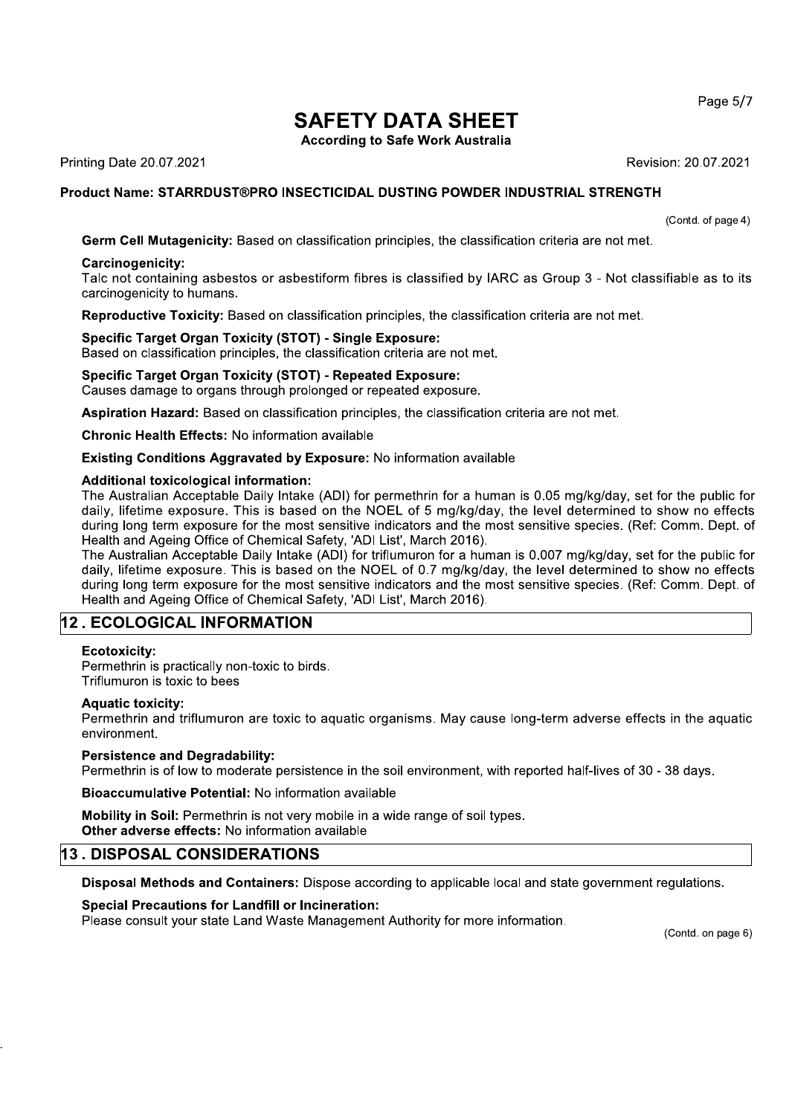# **SAFETY DATA SHEET**

**According to Safe Work Australia** 

**Printing Date 20.07.2021** 

Revision: 20.07.2021

# Product Name: STARRDUST®PRO INSECTICIDAL DUSTING POWDER INDUSTRIAL STRENGTH

(Contd. of page 4)

Germ Cell Mutagenicity: Based on classification principles, the classification criteria are not met.

## Carcinogenicity:

Talc not containing asbestos or asbestiform fibres is classified by IARC as Group 3 - Not classifiable as to its carcinogenicity to humans.

Reproductive Toxicity: Based on classification principles, the classification criteria are not met.

## **Specific Target Organ Toxicity (STOT) - Single Exposure:**

Based on classification principles, the classification criteria are not met.

**Specific Target Organ Toxicity (STOT) - Repeated Exposure:** Causes damage to organs through prolonged or repeated exposure.

Aspiration Hazard: Based on classification principles, the classification criteria are not met.

**Chronic Health Effects: No information available** 

## **Existing Conditions Aggravated by Exposure: No information available**

## **Additional toxicological information:**

The Australian Acceptable Daily Intake (ADI) for permethrin for a human is 0.05 mg/kg/day, set for the public for daily, lifetime exposure. This is based on the NOEL of 5 mg/kg/day, the level determined to show no effects during long term exposure for the most sensitive indicators and the most sensitive species. (Ref: Comm. Dept. of Health and Ageing Office of Chemical Safety, 'ADI List', March 2016).

The Australian Acceptable Daily Intake (ADI) for triflumuron for a human is 0.007 mg/kg/day, set for the public for daily, lifetime exposure. This is based on the NOEL of 0.7 mg/kg/day, the level determined to show no effects during long term exposure for the most sensitive indicators and the most sensitive species. (Ref: Comm. Dept. of Health and Ageing Office of Chemical Safety, 'ADI List', March 2016).

# 12. ECOLOGICAL INFORMATION

## Ecotoxicity:

Permethrin is practically non-toxic to birds. Triflumuron is toxic to bees

## **Aquatic toxicity:**

Permethrin and triflumuron are toxic to aquatic organisms. May cause long-term adverse effects in the aquatic environment.

## **Persistence and Degradability:**

Permethrin is of low to moderate persistence in the soil environment, with reported half-lives of 30 - 38 days.

Bioaccumulative Potential: No information available

Mobility in Soil: Permethrin is not very mobile in a wide range of soil types. Other adverse effects: No information available

# **13. DISPOSAL CONSIDERATIONS**

Disposal Methods and Containers: Dispose according to applicable local and state government regulations.

# **Special Precautions for Landfill or Incineration:**

Please consult your state Land Waste Management Authority for more information.

(Contd. on page 6)

Page 5/7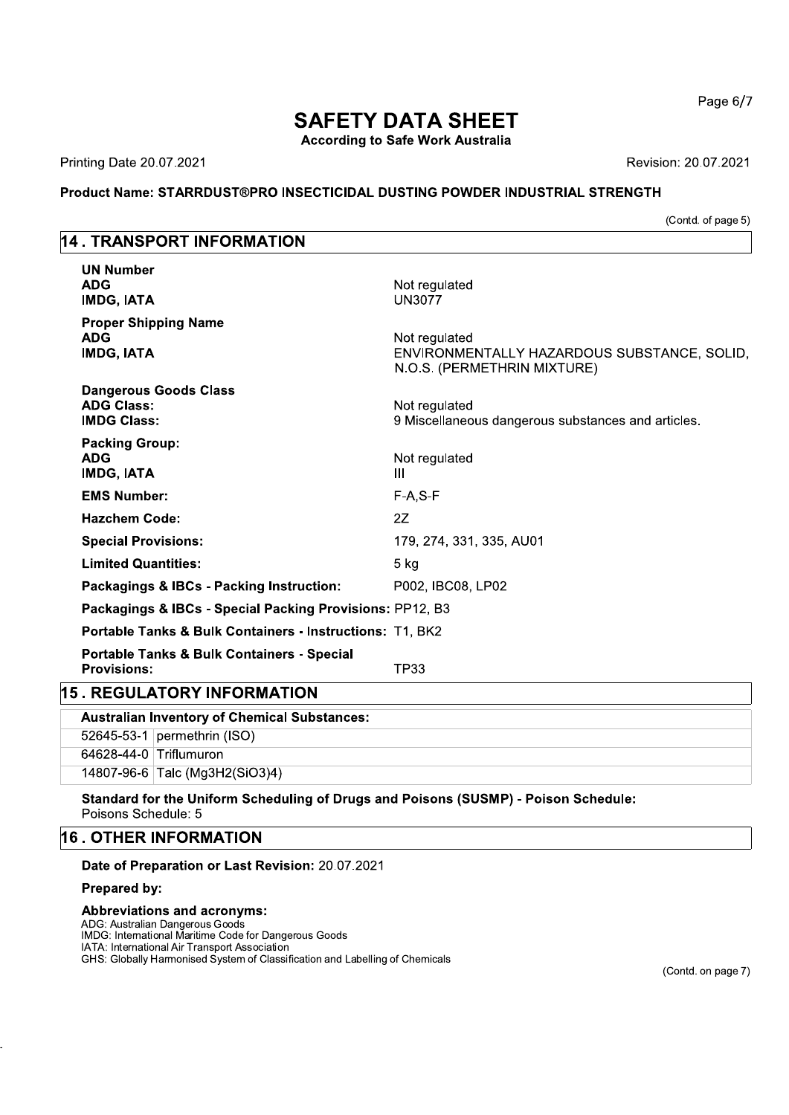# **SAFETY DATA SHEET**

**According to Safe Work Australia** 

Printing Date 20.07.2021

Revision: 20.07.2021

# Product Name: STARRDUST®PRO INSECTICIDAL DUSTING POWDER INDUSTRIAL STRENGTH

(Contd. of page 5)

# **14. TRANSPORT INFORMATION**

| <b>Portable Tanks &amp; Bulk Containers - Special</b><br><b>Provisions:</b><br><b>15. REGULATORY INFORMATION</b> | TP33                                                                                        |
|------------------------------------------------------------------------------------------------------------------|---------------------------------------------------------------------------------------------|
| Portable Tanks & Bulk Containers - Instructions: T1, BK2                                                         |                                                                                             |
| Packagings & IBCs - Special Packing Provisions: PP12, B3                                                         |                                                                                             |
| Packagings & IBCs - Packing Instruction:                                                                         | P002, IBC08, LP02                                                                           |
| <b>Limited Quantities:</b>                                                                                       | $5$ kg                                                                                      |
| <b>Special Provisions:</b>                                                                                       | 179, 274, 331, 335, AU01                                                                    |
| <b>Hazchem Code:</b>                                                                                             | 2Z                                                                                          |
| <b>EMS Number:</b>                                                                                               | $F-A, S-F$                                                                                  |
| <b>Packing Group:</b><br><b>ADG</b><br><b>IMDG, IATA</b>                                                         | Not regulated<br>Ш                                                                          |
| <b>Dangerous Goods Class</b><br><b>ADG Class:</b><br><b>IMDG Class:</b>                                          | Not regulated<br>9 Miscellaneous dangerous substances and articles.                         |
| <b>Proper Shipping Name</b><br><b>ADG</b><br><b>IMDG, IATA</b>                                                   | Not regulated<br>ENVIRONMENTALLY HAZARDOUS SUBSTANCE, SOLID,<br>N.O.S. (PERMETHRIN MIXTURE) |
| <b>UN Number</b><br><b>ADG</b><br><b>IMDG, IATA</b>                                                              | Not regulated<br><b>UN3077</b>                                                              |

| ייט וואוט וויי ווייט ומשפח וני                      |  |                                |  |
|-----------------------------------------------------|--|--------------------------------|--|
| <b>Australian Inventory of Chemical Substances:</b> |  |                                |  |
|                                                     |  | 52645-53-1 permethrin $(ISO)$  |  |
|                                                     |  | 64628-44-0 Triflumuron         |  |
|                                                     |  | 14807-96-6 Talc (Mg3H2(SiO3)4) |  |
|                                                     |  |                                |  |

Standard for the Uniform Scheduling of Drugs and Poisons (SUSMP) - Poison Schedule: Poisons Schedule: 5

# 16. OTHER INFORMATION

Date of Preparation or Last Revision: 20.07.2021

# Prepared by:

## **Abbreviations and acronyms:**

ADG: Australian Dangerous Goods IMDG: International Maritime Code for Dangerous Goods IATA: International Air Transport Association GHS: Globally Harmonised System of Classification and Labelling of Chemicals Page 6/7